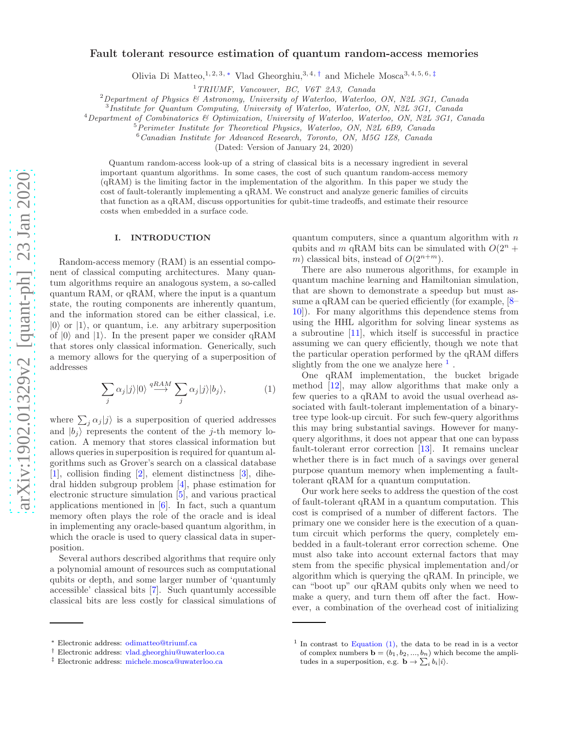# Fault tolerant resource estimation of quantum random-access memories

Olivia Di Matteo,<sup>1, 2, 3,</sup> \* Vlad Gheorghiu,<sup>3, 4, [†](#page-0-1)</sup> and Michele Mosca<sup>3, 4, 5, 6, [‡](#page-0-2)</sup>

<sup>1</sup>*TRIUMF, Vancouver, BC, V6T 2A3, Canada*

<sup>2</sup>*Department of Physics & Astronomy, University of Waterloo, Waterloo, ON, N2L 3G1, Canada*

3 *Institute for Quantum Computing, University of Waterloo, Waterloo, ON, N2L 3G1, Canada*

<sup>4</sup>*Department of Combinatorics & Optimization, University of Waterloo, Waterloo, ON, N2L 3G1, Canada*

<sup>5</sup>*Perimeter Institute for Theoretical Physics, Waterloo, ON, N2L 6B9, Canada*

<sup>6</sup>*Canadian Institute for Advanced Research, Toronto, ON, M5G 1Z8, Canada*

(Dated: Version of January 24, 2020)

Quantum random-access look-up of a string of classical bits is a necessary ingredient in several important quantum algorithms. In some cases, the cost of such quantum random-access memory (qRAM) is the limiting factor in the implementation of the algorithm. In this paper we study the cost of fault-tolerantly implementing a qRAM. We construct and analyze generic families of circuits that function as a qRAM, discuss opportunities for qubit-time tradeoffs, and estimate their resource costs when embedded in a surface code.

## I. INTRODUCTION

Random-access memory (RAM) is an essential component of classical computing architectures. Many quantum algorithms require an analogous system, a so-called quantum RAM, or qRAM, where the input is a quantum state, the routing components are inherently quantum, and the information stored can be either classical, i.e.  $|0\rangle$  or  $|1\rangle$ , or quantum, i.e. any arbitrary superposition of  $|0\rangle$  and  $|1\rangle$ . In the present paper we consider qRAM that stores only classical information. Generically, such a memory allows for the querying of a superposition of addresses

<span id="page-0-4"></span>
$$
\sum_{j} \alpha_{j} |j\rangle |0\rangle \stackrel{qRAM}{\longrightarrow} \sum_{j} \alpha_{j} |j\rangle |b_{j}\rangle, \tag{1}
$$

where  $\sum_j \alpha_j |j\rangle$  is a superposition of queried addresses and  $|b_i\rangle$  represents the content of the j-th memory location. A memory that stores classical information but allows queries in superposition is required for quantum algorithms such as Grover's search on a classical database [\[1\]](#page-12-0), collision finding [\[2\]](#page-12-1), element distinctness [\[3\]](#page-12-2), dihedral hidden subgroup problem [\[4\]](#page-12-3), phase estimation for electronic structure simulation [\[5](#page-12-4)], and various practical applications mentioned in [\[6](#page-12-5)]. In fact, such a quantum memory often plays the role of the oracle and is ideal in implementing any oracle-based quantum algorithm, in which the oracle is used to query classical data in superposition.

Several authors described algorithms that require only a polynomial amount of resources such as computational qubits or depth, and some larger number of 'quantumly accessible' classical bits [7]. Such quantumly accessible classical bits are less costly for classical simulations of quantum computers, since a quantum algorithm with  $n$ qubits and m qRAM bits can be simulated with  $O(2^n +$ m) classical bits, instead of  $O(2^{n+m})$ .

There are also numerous algorithms, for example in quantum machine learning and Hamiltonian simulation, that are shown to demonstrate a speedup but must assume a qRAM can be queried efficiently (for example,  $[8-$ [10](#page-12-7)]). For many algorithms this dependence stems from using the HHL algorithm for solving linear systems as a subroutine [\[11](#page-12-8)], which itself is successful in practice assuming we can query efficiently, though we note that the particular operation performed by the qRAM differs slightly from the one we analyze here  $^1$  $^1$  .

One qRAM implementation, the bucket brigade method [\[12\]](#page-12-9), may allow algorithms that make only a few queries to a qRAM to avoid the usual overhead associated with fault-tolerant implementation of a binarytree type look-up circuit. For such few-query algorithms this may bring substantial savings. However for manyquery algorithms, it does not appear that one can bypass fault-tolerant error correction [\[13\]](#page-12-10). It remains unclear whether there is in fact much of a savings over general purpose quantum memory when implementing a faulttolerant qRAM for a quantum computation.

Our work here seeks to address the question of the cost of fault-tolerant qRAM in a quantum computation. This cost is comprised of a number of different factors. The primary one we consider here is the execution of a quantum circuit which performs the query, completely embedded in a fault-tolerant error correction scheme. One must also take into account external factors that may stem from the specific physical implementation and/or algorithm which is querying the qRAM. In principle, we can "boot up" our qRAM qubits only when we need to make a query, and turn them off after the fact. However, a combination of the overhead cost of initializing

<span id="page-0-0"></span><sup>∗</sup> Electronic address: [odimatteo@triumf.ca](mailto:odimatteo@triumf.ca)

<span id="page-0-1"></span><sup>†</sup> Electronic address: [vlad.gheorghiu@uwaterloo.ca](mailto:vlad.gheorghiu@uwaterloo.ca)

<span id="page-0-2"></span><sup>‡</sup> Electronic address: [michele.mosca@uwaterloo.ca](mailto:michele.mosca@uwaterloo.ca)

<span id="page-0-3"></span><sup>&</sup>lt;sup>1</sup> In contrast to [Equation \(1\),](#page-0-4) the data to be read in is a vector of complex numbers  $\mathbf{b} = (b_1, b_2, ..., b_n)$  which become the amplitudes in a superposition, e.g.  $\mathbf{b} \to \sum_i b_i |i\rangle$ .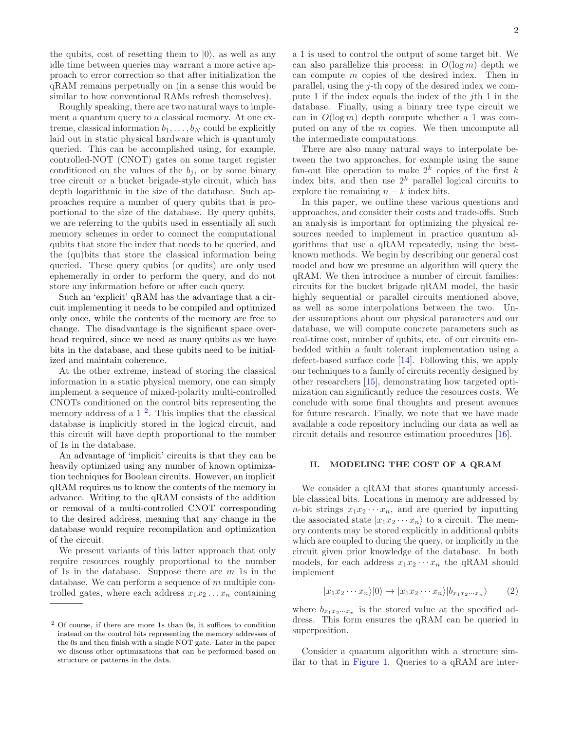the qubits, cost of resetting them to  $|0\rangle$ , as well as any idle time between queries may warrant a more active approach to error correction so that after initialization the qRAM remains perpetually on (in a sense this would be similar to how conventional RAMs refresh themselves).

Roughly speaking, there are two natural ways to implement a quantum query to a classical memory. At one extreme, classical information  $b_1, \ldots, b_N$  could be explicitly laid out in static physical hardware which is quantumly queried. This can be accomplished using, for example, controlled-NOT (CNOT) gates on some target register conditioned on the values of the  $b_j$ , or by some binary tree circuit or a bucket brigade-style circuit, which has depth logarithmic in the size of the database. Such approaches require a number of query qubits that is proportional to the size of the database. By query qubits, we are referring to the qubits used in essentially all such memory schemes in order to connect the computational qubits that store the index that needs to be queried, and the (qu)bits that store the classical information being queried. These query qubits (or qudits) are only used ephemerally in order to perform the query, and do not store any information before or after each query.

Such an 'explicit' qRAM has the advantage that a circuit implementing it needs to be compiled and optimized only once, while the contents of the memory are free to change. The disadvantage is the significant space overhead required, since we need as many qubits as we have bits in the database, and these qubits need to be initialized and maintain coherence.

At the other extreme, instead of storing the classical information in a static physical memory, one can simply implement a sequence of mixed-polarity multi-controlled CNOTs conditioned on the control bits representing the memory address of a  $1<sup>2</sup>$  $1<sup>2</sup>$  $1<sup>2</sup>$ . This implies that the classical database is implicitly stored in the logical circuit, and this circuit will have depth proportional to the number of 1s in the database.

An advantage of 'implicit' circuits is that they can be heavily optimized using any number of known optimization techniques for Boolean circuits. However, an implicit qRAM requires us to know the contents of the memory in advance. Writing to the qRAM consists of the addition or removal of a multi-controlled CNOT corresponding to the desired address, meaning that any change in the database would require recompilation and optimization of the circuit.

We present variants of this latter approach that only require resources roughly proportional to the number of 1s in the database. Suppose there are  $m$  1s in the database. We can perform a sequence of  $m$  multiple controlled gates, where each address  $x_1x_2 \ldots x_n$  containing a 1 is used to control the output of some target bit. We can also parallelize this process: in  $O(\log m)$  depth we can compute m copies of the desired index. Then in parallel, using the j-th copy of the desired index we compute 1 if the index equals the index of the jth 1 in the database. Finally, using a binary tree type circuit we can in  $O(\log m)$  depth compute whether a 1 was computed on any of the m copies. We then uncompute all the intermediate computations.

There are also many natural ways to interpolate between the two approaches, for example using the same fan-out like operation to make  $2^k$  copies of the first k index bits, and then use  $2^k$  parallel logical circuits to explore the remaining  $n - k$  index bits.

In this paper, we outline these various questions and approaches, and consider their costs and trade-offs. Such an analysis is important for optimizing the physical resources needed to implement in practice quantum algorithms that use a qRAM repeatedly, using the bestknown methods. We begin by describing our general cost model and how we presume an algorithm will query the qRAM. We then introduce a number of circuit families: circuits for the bucket brigade qRAM model, the basic highly sequential or parallel circuits mentioned above, as well as some interpolations between the two. Under assumptions about our physical parameters and our database, we will compute concrete parameters such as real-time cost, number of qubits, etc. of our circuits embedded within a fault tolerant implementation using a defect-based surface code [\[14](#page-12-11)]. Following this, we apply our techniques to a family of circuits recently designed by other researchers [\[15\]](#page-12-12), demonstrating how targeted optimization can significantly reduce the resources costs. We conclude with some final thoughts and present avenues for future research. Finally, we note that we have made available a code repository including our data as well as circuit details and resource estimation procedures [\[16\]](#page-12-13).

## II. MODELING THE COST OF A QRAM

We consider a qRAM that stores quantumly accessible classical bits. Locations in memory are addressed by *n*-bit strings  $x_1x_2 \cdots x_n$ , and are queried by inputting the associated state  $|x_1x_2 \cdots x_n\rangle$  to a circuit. The memory contents may be stored explicitly in additional qubits which are coupled to during the query, or implicitly in the circuit given prior knowledge of the database. In both models, for each address  $x_1x_2\cdots x_n$  the qRAM should implement

$$
|x_1x_2\cdots x_n\rangle|0\rangle \rightarrow |x_1x_2\cdots x_n\rangle|b_{x_1x_2\cdots x_n}\rangle \qquad (2)
$$

where  $b_{x_1x_2\cdots x_n}$  is the stored value at the specified address. This form ensures the qRAM can be queried in superposition.

Consider a quantum algorithm with a structure similar to that in [Figure 1.](#page-2-0) Queries to a qRAM are inter-

<span id="page-1-0"></span><sup>2</sup> Of course, if there are more 1s than 0s, it suffices to condition instead on the control bits representing the memory addresses of the 0s and then finish with a single NOT gate. Later in the paper we discuss other optimizations that can be performed based on structure or patterns in the data.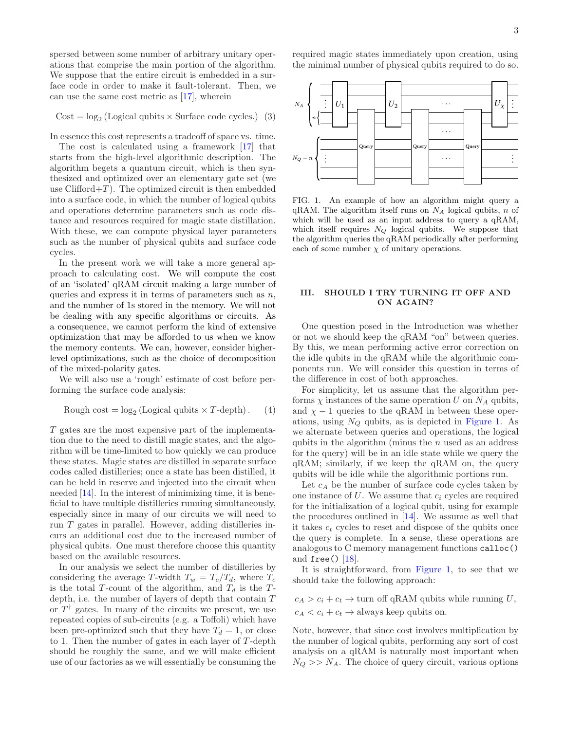spersed between some number of arbitrary unitary operations that comprise the main portion of the algorithm. We suppose that the entire circuit is embedded in a surface code in order to make it fault-tolerant. Then, we can use the same cost metric as [\[17](#page-12-14)], wherein

$$
Cost = \log_2 (Logical \text{ qubits} \times Surface \text{ code cycles.}) \quad (3)
$$

In essence this cost represents a tradeoff of space vs. time.

The cost is calculated using a framework [\[17\]](#page-12-14) that starts from the high-level algorithmic description. The algorithm begets a quantum circuit, which is then synthesized and optimized over an elementary gate set (we use Clifford $+T$ ). The optimized circuit is then embedded into a surface code, in which the number of logical qubits and operations determine parameters such as code distance and resources required for magic state distillation. With these, we can compute physical layer parameters such as the number of physical qubits and surface code cycles.

In the present work we will take a more general approach to calculating cost. We will compute the cost of an 'isolated' qRAM circuit making a large number of queries and express it in terms of parameters such as  $n$ , and the number of 1s stored in the memory. We will not be dealing with any specific algorithms or circuits. As a consequence, we cannot perform the kind of extensive optimization that may be afforded to us when we know the memory contents. We can, however, consider higherlevel optimizations, such as the choice of decomposition of the mixed-polarity gates.

We will also use a 'rough' estimate of cost before performing the surface code analysis:

<span id="page-2-1"></span>Rough cost = 
$$
log_2
$$
 (Logical qubits × T-depth). (4)

T gates are the most expensive part of the implementation due to the need to distill magic states, and the algorithm will be time-limited to how quickly we can produce these states. Magic states are distilled in separate surface codes called distilleries; once a state has been distilled, it can be held in reserve and injected into the circuit when needed [\[14](#page-12-11)]. In the interest of minimizing time, it is beneficial to have multiple distilleries running simultaneously, especially since in many of our circuits we will need to run T gates in parallel. However, adding distilleries incurs an additional cost due to the increased number of physical qubits. One must therefore choose this quantity based on the available resources.

In our analysis we select the number of distilleries by considering the average T-width  $T_w = T_c/T_d$ , where  $T_c$ is the total T-count of the algorithm, and  $T_d$  is the Tdepth, i.e. the number of layers of depth that contain  $T$ or  $T^{\dagger}$  gates. In many of the circuits we present, we use repeated copies of sub-circuits (e.g. a Toffoli) which have been pre-optimized such that they have  $T_d = 1$ , or close to 1. Then the number of gates in each layer of T -depth should be roughly the same, and we will make efficient use of our factories as we will essentially be consuming the required magic states immediately upon creation, using the minimal number of physical qubits required to do so.



<span id="page-2-0"></span>FIG. 1. An example of how an algorithm might query a qRAM. The algorithm itself runs on  $N_A$  logical qubits, n of which will be used as an input address to query a qRAM, which itself requires  $N_Q$  logical qubits. We suppose that the algorithm queries the qRAM periodically after performing each of some number  $\chi$  of unitary operations.

# III. SHOULD I TRY TURNING IT OFF AND ON AGAIN?

One question posed in the Introduction was whether or not we should keep the qRAM "on" between queries. By this, we mean performing active error correction on the idle qubits in the qRAM while the algorithmic components run. We will consider this question in terms of the difference in cost of both approaches.

For simplicity, let us assume that the algorithm performs  $\chi$  instances of the same operation U on  $N_A$  qubits, and  $\chi - 1$  queries to the qRAM in between these operations, using  $N_Q$  qubits, as is depicted in [Figure 1.](#page-2-0) As we alternate between queries and operations, the logical qubits in the algorithm (minus the  $n$  used as an address for the query) will be in an idle state while we query the qRAM; similarly, if we keep the qRAM on, the query qubits will be idle while the algorithmic portions run.

Let  $c_A$  be the number of surface code cycles taken by one instance of  $U$ . We assume that  $c_i$  cycles are required for the initialization of a logical qubit, using for example the procedures outlined in [\[14](#page-12-11)]. We assume as well that it takes  $c_t$  cycles to reset and dispose of the qubits once the query is complete. In a sense, these operations are analogous to C memory management functions calloc() and free()  $[18]$ .

It is straightforward, from [Figure 1,](#page-2-0) to see that we should take the following approach:

 $c_A > c_i + c_t \rightarrow$  turn off qRAM qubits while running U,  $c_A < c_i + c_t \rightarrow$  always keep qubits on.

Note, however, that since cost involves multiplication by the number of logical qubits, performing any sort of cost analysis on a qRAM is naturally most important when  $N_Q \gg N_A$ . The choice of query circuit, various options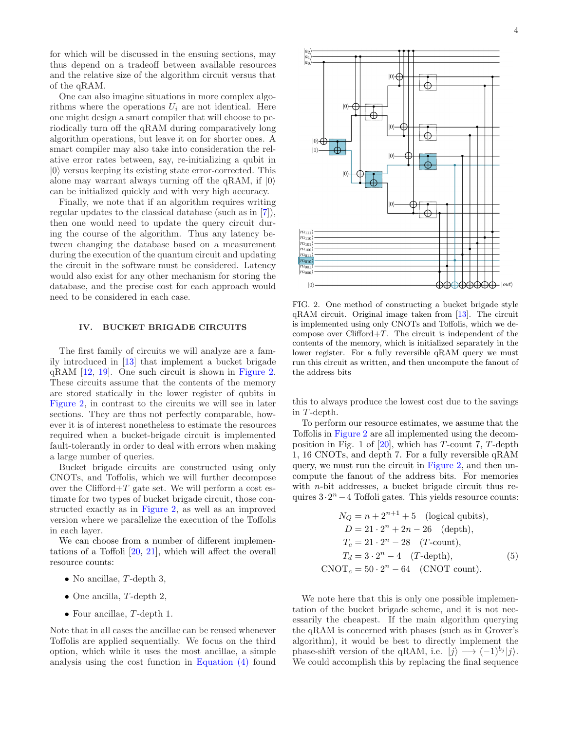for which will be discussed in the ensuing sections, may thus depend on a tradeoff between available resources and the relative size of the algorithm circuit versus that of the qRAM.

One can also imagine situations in more complex algorithms where the operations  $U_i$  are not identical. Here one might design a smart compiler that will choose to periodically turn off the qRAM during comparatively long algorithm operations, but leave it on for shorter ones. A smart compiler may also take into consideration the relative error rates between, say, re-initializing a qubit in  $|0\rangle$  versus keeping its existing state error-corrected. This alone may warrant always turning off the qRAM, if  $|0\rangle$ can be initialized quickly and with very high accuracy.

Finally, we note that if an algorithm requires writing regular updates to the classical database (such as in [7]), then one would need to update the query circuit during the course of the algorithm. Thus any latency between changing the database based on a measurement during the execution of the quantum circuit and updating the circuit in the software must be considered. Latency would also exist for any other mechanism for storing the database, and the precise cost for each approach would need to be considered in each case.

## <span id="page-3-1"></span>IV. BUCKET BRIGADE CIRCUITS

The first family of circuits we will analyze are a family introduced in [\[13](#page-12-10)] that implement a bucket brigade qRAM [\[12,](#page-12-9) [19\]](#page-13-0). One such circuit is shown in [Figure 2.](#page-3-0) These circuits assume that the contents of the memory are stored statically in the lower register of qubits in [Figure 2,](#page-3-0) in contrast to the circuits we will see in later sections. They are thus not perfectly comparable, however it is of interest nonetheless to estimate the resources required when a bucket-brigade circuit is implemented fault-tolerantly in order to deal with errors when making a large number of queries.

Bucket brigade circuits are constructed using only CNOTs, and Toffolis, which we will further decompose over the Clifford $+T$  gate set. We will perform a cost estimate for two types of bucket brigade circuit, those constructed exactly as in [Figure 2,](#page-3-0) as well as an improved version where we parallelize the execution of the Toffolis in each layer.

We can choose from a number of different implementations of a Toffoli [\[20](#page-13-1), [21\]](#page-13-2), which will affect the overall resource counts:

- No ancillae,  $T$ -depth 3,
- One ancilla,  $T$ -depth 2,
- Four ancillae, T-depth 1.

Note that in all cases the ancillae can be reused whenever Toffolis are applied sequentially. We focus on the third option, which while it uses the most ancillae, a simple analysis using the cost function in [Equation \(4\)](#page-2-1) found



<span id="page-3-0"></span>FIG. 2. One method of constructing a bucket brigade style qRAM circuit. Original image taken from [\[13\]](#page-12-10). The circuit is implemented using only CNOTs and Toffolis, which we decompose over Clifford $+T$ . The circuit is independent of the contents of the memory, which is initialized separately in the lower register. For a fully reversible qRAM query we must run this circuit as written, and then uncompute the fanout of the address bits

this to always produce the lowest cost due to the savings in T -depth.

To perform our resource estimates, we assume that the Toffolis in [Figure 2](#page-3-0) are all implemented using the decomposition in Fig. 1 of  $[20]$ , which has T-count 7, T-depth 1, 16 CNOTs, and depth 7. For a fully reversible qRAM query, we must run the circuit in [Figure 2,](#page-3-0) and then uncompute the fanout of the address bits. For memories with *n*-bit addresses, a bucket brigade circuit thus requires  $3 \cdot 2^n - 4$  Toffoli gates. This yields resource counts:

$$
N_Q = n + 2^{n+1} + 5
$$
 (logical qubits),  
\n
$$
D = 21 \cdot 2^n + 2n - 26
$$
 (depth),  
\n
$$
T_c = 21 \cdot 2^n - 28
$$
 (T-count),  
\n
$$
T_d = 3 \cdot 2^n - 4
$$
 (T-depth), (5)  
\nCNOT<sub>c</sub> = 50 \cdot 2<sup>n</sup> - 64 (CNOT count).

We note here that this is only one possible implementation of the bucket brigade scheme, and it is not necessarily the cheapest. If the main algorithm querying the qRAM is concerned with phases (such as in Grover's algorithm), it would be best to directly implement the phase-shift version of the qRAM, i.e.  $|j\rangle \longrightarrow (-1)^{b_j} |j\rangle$ . We could accomplish this by replacing the final sequence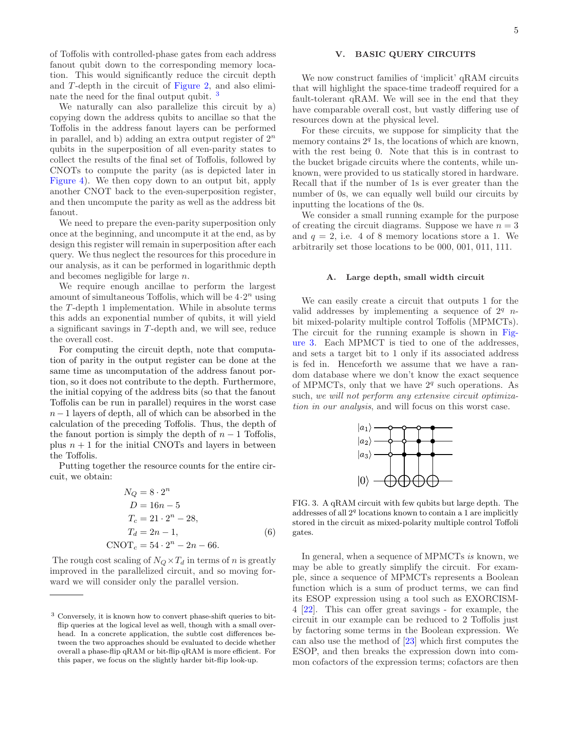of Toffolis with controlled-phase gates from each address fanout qubit down to the corresponding memory location. This would significantly reduce the circuit depth and  $T$ -depth in the circuit of [Figure 2,](#page-3-0) and also eliminate the need for the final output qubit. [3](#page-4-0)

We naturally can also parallelize this circuit by a) copying down the address qubits to ancillae so that the Toffolis in the address fanout layers can be performed in parallel, and b) adding an extra output register of  $2^n$ qubits in the superposition of all even-parity states to collect the results of the final set of Toffolis, followed by CNOTs to compute the parity (as is depicted later in [Figure 4\)](#page-5-0). We then copy down to an output bit, apply another CNOT back to the even-superposition register, and then uncompute the parity as well as the address bit fanout.

We need to prepare the even-parity superposition only once at the beginning, and uncompute it at the end, as by design this register will remain in superposition after each query. We thus neglect the resources for this procedure in our analysis, as it can be performed in logarithmic depth and becomes negligible for large n.

We require enough ancillae to perform the largest amount of simultaneous Toffolis, which will be  $4 \cdot 2^n$  using the T -depth 1 implementation. While in absolute terms this adds an exponential number of qubits, it will yield a significant savings in T -depth and, we will see, reduce the overall cost.

For computing the circuit depth, note that computation of parity in the output register can be done at the same time as uncomputation of the address fanout portion, so it does not contribute to the depth. Furthermore, the initial copying of the address bits (so that the fanout Toffolis can be run in parallel) requires in the worst case  $n-1$  layers of depth, all of which can be absorbed in the calculation of the preceding Toffolis. Thus, the depth of the fanout portion is simply the depth of  $n-1$  Toffolis, plus  $n + 1$  for the initial CNOTs and layers in between the Toffolis.

Putting together the resource counts for the entire circuit, we obtain:

$$
N_Q = 8 \cdot 2^n
$$
  
\n
$$
D = 16n - 5
$$
  
\n
$$
T_c = 21 \cdot 2^n - 28,
$$
  
\n
$$
T_d = 2n - 1,
$$
  
\n
$$
CNOT_c = 54 \cdot 2^n - 2n - 66.
$$
 (6)

The rough cost scaling of  $N_Q \times T_d$  in terms of n is greatly improved in the parallelized circuit, and so moving forward we will consider only the parallel version.

# <span id="page-4-2"></span>V. BASIC QUERY CIRCUITS

We now construct families of 'implicit' qRAM circuits that will highlight the space-time tradeoff required for a fault-tolerant qRAM. We will see in the end that they have comparable overall cost, but vastly differing use of resources down at the physical level.

For these circuits, we suppose for simplicity that the memory contains  $2<sup>q</sup>$  1s, the locations of which are known, with the rest being 0. Note that this is in contrast to the bucket brigade circuits where the contents, while unknown, were provided to us statically stored in hardware. Recall that if the number of 1s is ever greater than the number of 0s, we can equally well build our circuits by inputting the locations of the 0s.

We consider a small running example for the purpose of creating the circuit diagrams. Suppose we have  $n = 3$ and  $q = 2$ , i.e. 4 of 8 memory locations store a 1. We arbitrarily set those locations to be 000, 001, 011, 111.

## A. Large depth, small width circuit

We can easily create a circuit that outputs 1 for the valid addresses by implementing a sequence of  $2<sup>q</sup>$  nbit mixed-polarity multiple control Toffolis (MPMCTs). The circuit for the running example is shown in Figure 3[. Each MPMCT is tied to one of the addres](#page-4-1)ses, and sets a target bit to 1 only if its associated address is fed in. Henceforth we assume that we have a random database where we don't know the exact sequence of MPMCTs, only that we have  $2<sup>q</sup>$  such operations. As such, we will not perform any extensive circuit optimization in our analysis, and will focus on this worst case.



<span id="page-4-1"></span>FIG. 3. A qRAM circuit with few qubits but large depth. The addresses of all  $2<sup>q</sup>$  locations known to contain a 1 are implicitly stored in the circuit as mixed-polarity multiple control Toffoli gates.

In general, when a sequence of MPMCTs is known, we may be able to greatly simplify the circuit. For example, since a sequence of MPMCTs represents a Boolean function which is a sum of product terms, we can find its ESOP expression using a tool such as EXORCISM-4 [\[22](#page-13-3)]. This can offer great savings - for example, the circuit in our example can be reduced to 2 Toffolis just by factoring some terms in the Boolean expression. We can also use the method of [\[23](#page-13-4)] which first computes the ESOP, and then breaks the expression down into common cofactors of the expression terms; cofactors are then

<span id="page-4-0"></span><sup>3</sup> Conversely, it is known how to convert phase-shift queries to bitflip queries at the logical level as well, though with a small overhead. In a concrete application, the subtle cost differences between the two approaches should be evaluated to decide whether overall a phase-flip qRAM or bit-flip qRAM is more efficient. For this paper, we focus on the slightly harder bit-flip look-up.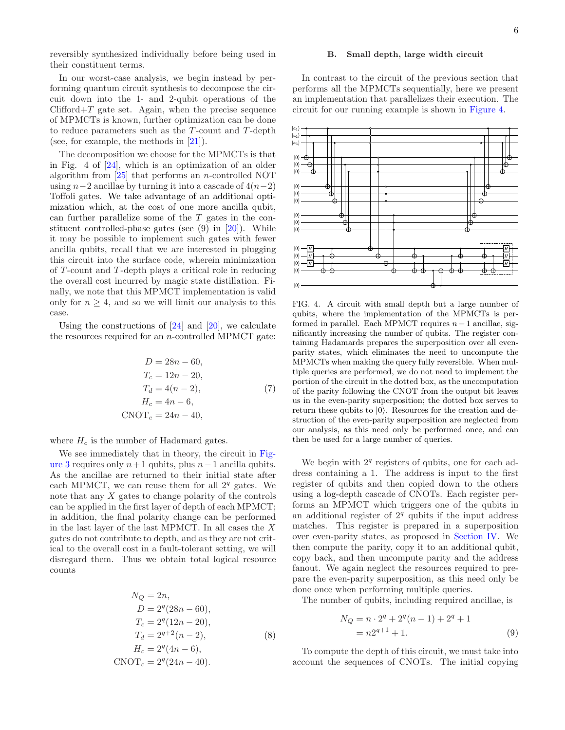reversibly synthesized individually before being used in their constituent terms.

In our worst-case analysis, we begin instead by performing quantum circuit synthesis to decompose the circuit down into the 1- and 2-qubit operations of the Clifford $+T$  gate set. Again, when the precise sequence of MPMCTs is known, further optimization can be done to reduce parameters such as the  $T$ -count and  $T$ -depth (see, for example, the methods in [\[21\]](#page-13-2)).

The decomposition we choose for the MPMCTs is that in Fig. 4 of [\[24\]](#page-13-5), which is an optimization of an older algorithm from [\[25](#page-13-6)] that performs an n-controlled NOT using  $n-2$  ancillae by turning it into a cascade of  $4(n-2)$ Toffoli gates. We take advantage of an additional optimization which, at the cost of one more ancilla qubit, can further parallelize some of the  $T$  gates in the constituent controlled-phase gates (see (9) in [\[20\]](#page-13-1)). While it may be possible to implement such gates with fewer ancilla qubits, recall that we are interested in plugging this circuit into the surface code, wherein minimization of  $T$ -count and  $T$ -depth plays a critical role in reducing the overall cost incurred by magic state distillation. Finally, we note that this MPMCT implementation is valid only for  $n \geq 4$ , and so we will limit our analysis to this case.

Using the constructions of  $[24]$  and  $[20]$ , we calculate the resources required for an  $n$ -controlled MPMCT gate:

$$
D = 28n - 60,
$$
  
\n
$$
T_c = 12n - 20,
$$
  
\n
$$
T_d = 4(n - 2),
$$
  
\n
$$
H_c = 4n - 6,
$$
  
\n
$$
CNOT_c = 24n - 40,
$$
\n(7)

where  $H_c$  is the number of Hadamard gates.

We see immediately that in theory, the circuit in Figure 3 requires only  $n+1$  qubits, plus  $n-1$  ancilla qubits. As the ancillae are returned to their initial state after each MPMCT, we can reuse them for all  $2<sup>q</sup>$  gates. We note that any X gates to change polarity of the controls can be applied in the first layer of depth of each MPMCT; in addition, the final polarity change can be performed in the last layer of the last MPMCT. In all cases the  $X$ gates do not contribute to depth, and as they are not critical to the overall cost in a fault-tolerant setting, we will disregard them. Thus we obtain total logical resource counts

$$
N_Q = 2n,
$$
  
\n
$$
D = 2^q (28n - 60),
$$
  
\n
$$
T_c = 2^q (12n - 20),
$$
  
\n
$$
T_d = 2^{q+2} (n - 2),
$$
  
\n
$$
H_c = 2^q (4n - 6),
$$
  
\n
$$
\text{CNOT}_c = 2^q (24n - 40).
$$
\n(8)

## B. Small depth, large width circuit

In contrast to the circuit of the previous section that performs all the MPMCTs sequentially, here we present an implementation that parallelizes their execution. The circuit for our running example is shown in [Figure 4.](#page-5-0)



<span id="page-5-0"></span>FIG. 4. A circuit with small depth but a large number of qubits, where the implementation of the MPMCTs is performed in parallel. Each MPMCT requires  $n-1$  ancillae, significantly increasing the number of qubits. The register containing Hadamards prepares the superposition over all evenparity states, which eliminates the need to uncompute the MPMCTs when making the query fully reversible. When multiple queries are performed, we do not need to implement the portion of the circuit in the dotted box, as the uncomputation of the parity following the CNOT from the output bit leaves us in the even-parity superposition; the dotted box serves to return these qubits to  $|0\rangle$ . Resources for the creation and destruction of the even-parity superposition are neglected from our analysis, as this need only be performed once, and can then be used for a large number of queries.

We begin with  $2<sup>q</sup>$  registers of qubits, one for each address containing a 1. The address is input to the first register of qubits and then copied down to the others using a log-depth cascade of CNOTs. Each register performs an MPMCT which triggers one of the qubits in an additional register of  $2<sup>q</sup>$  qubits if the input address matches. This register is prepared in a superposition over even-parity states, as proposed in [Section IV.](#page-3-1) We then compute the parity, copy it to an additional qubit, copy back, and then uncompute parity and the address fanout. We again neglect the resources required to prepare the even-parity superposition, as this need only be done once when performing multiple queries.

The number of qubits, including required ancillae, is

$$
N_Q = n \cdot 2^q + 2^q (n - 1) + 2^q + 1
$$
  
=  $n2^{q+1} + 1$ . (9)

To compute the depth of this circuit, we must take into account the sequences of CNOTs. The initial copying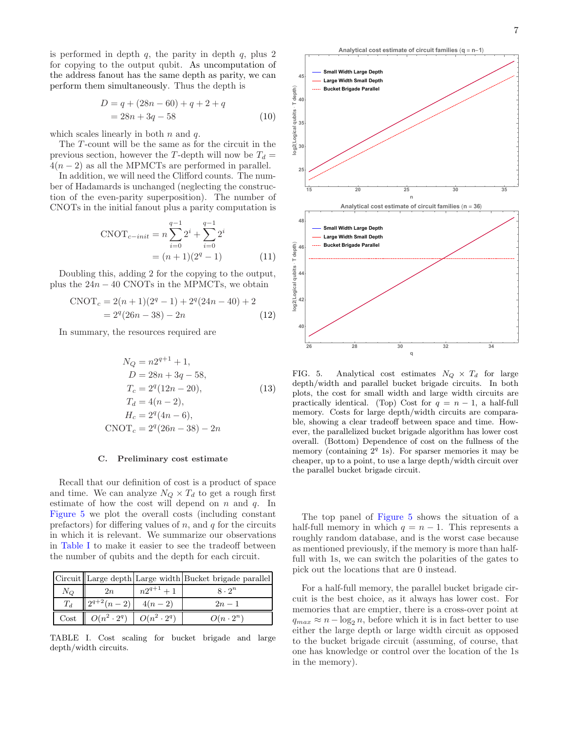is performed in depth  $q$ , the parity in depth  $q$ , plus 2 for copying to the output qubit. As uncomputation of the address fanout has the same depth as parity, we can perform them simultaneously. Thus the depth is

$$
D = q + (28n - 60) + q + 2 + q
$$
  
= 28n + 3q - 58 (10)

which scales linearly in both  $n$  and  $q$ .

The  $T$ -count will be the same as for the circuit in the previous section, however the T-depth will now be  $T_d =$  $4(n-2)$  as all the MPMCTs are performed in parallel.

In addition, we will need the Clifford counts. The number of Hadamards is unchanged (neglecting the construction of the even-parity superposition). The number of CNOTs in the initial fanout plus a parity computation is

$$
CNOT_{c-int} = n \sum_{i=0}^{q-1} 2^{i} + \sum_{i=0}^{q-1} 2^{i}
$$

$$
= (n+1)(2^{q}-1)
$$
(11)

Doubling this, adding 2 for the copying to the output, plus the  $24n - 40$  CNOTs in the MPMCTs, we obtain

$$
CNOTc = 2(n + 1)(2q – 1) + 2q(24n – 40) + 2
$$
  
= 2<sup>q</sup>(26n – 38) – 2n (12)

In summary, the resources required are

$$
N_Q = n2^{q+1} + 1,
$$
  
\n
$$
D = 28n + 3q - 58,
$$
  
\n
$$
T_c = 2^q (12n - 20),
$$
  
\n
$$
T_d = 4(n - 2),
$$
  
\n
$$
H_c = 2^q (4n - 6),
$$
  
\n
$$
CNOT_c = 2^q (26n - 38) - 2n
$$
\n(13)

#### C. Preliminary cost estimate

Recall that our definition of cost is a product of space and time. We can analyze  $N_Q \times T_d$  to get a rough first estimate of how the cost will depend on  $n$  and  $q$ . In [Figure 5](#page-6-0) we plot the overall costs (including constant prefactors) for differing values of  $n$ , and  $q$  for the circuits in which it is relevant. We summarize our observations in [Table I](#page-6-1) to make it easier to see the tradeoff between the number of qubits and the depth for each circuit.

|       |                                            |              | Circuit Large depth Large width Bucket brigade parallel |
|-------|--------------------------------------------|--------------|---------------------------------------------------------|
| $N_O$ | 2n                                         | $n2^{q+1}+1$ | $8 \cdot 2^n$                                           |
| $T_d$ | $ 2^{q+2}(n-2) $ $4(n-2)$                  |              | $2n - 1$                                                |
|       | Cost $O(n^2 \cdot 2^q)$ $O(n^2 \cdot 2^q)$ |              | $O(n \cdot 2^n)$                                        |

<span id="page-6-1"></span>TABLE I. Cost scaling for bucket brigade and large depth/width circuits.



<span id="page-6-0"></span>FIG. 5. Analytical cost estimates  $N_Q \times T_d$  for large depth/width and parallel bucket brigade circuits. In both plots, the cost for small width and large width circuits are practically identical. (Top) Cost for  $q = n - 1$ , a half-full memory. Costs for large depth/width circuits are comparable, showing a clear tradeoff between space and time. However, the parallelized bucket brigade algorithm has lower cost overall. (Bottom) Dependence of cost on the fullness of the memory (containing  $2^q$  1s). For sparser memories it may be cheaper, up to a point, to use a large depth/width circuit over the parallel bucket brigade circuit.

The top panel of [Figure 5](#page-6-0) shows the situation of a half-full memory in which  $q = n - 1$ . This represents a roughly random database, and is the worst case because as mentioned previously, if the memory is more than halffull with 1s, we can switch the polarities of the gates to pick out the locations that are 0 instead.

For a half-full memory, the parallel bucket brigade circuit is the best choice, as it always has lower cost. For memories that are emptier, there is a cross-over point at  $q_{max} \approx n - \log_2 n$ , before which it is in fact better to use either the large depth or large width circuit as opposed to the bucket brigade circuit (assuming, of course, that one has knowledge or control over the location of the 1s in the memory).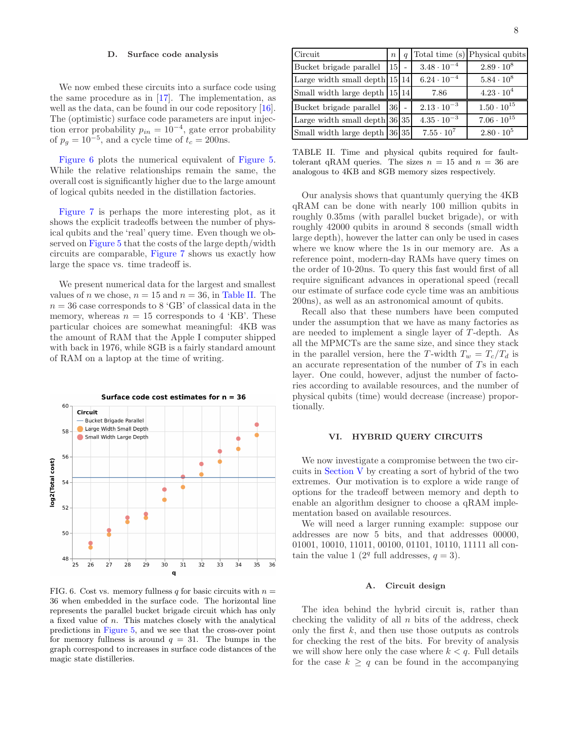### D. Surface code analysis

We now embed these circuits into a surface code using the same procedure as in  $[17]$ . The implementation, as well as the data, can be found in our code repository [\[16\]](#page-12-13). The (optimistic) surface code parameters are input injection error probability  $p_{in} = 10^{-4}$ , gate error probability of  $p_g = 10^{-5}$ , and a cycle time of  $t_c = 200$ ns.

[Figure 6](#page-7-0) plots the numerical equivalent of [Figure 5.](#page-6-0) While the relative relationships remain the same, the overall cost is significantly higher due to the large amount of logical qubits needed in the distillation factories.

[Figure 7](#page-8-0) is perhaps the more interesting plot, as it shows the explicit tradeoffs between the number of physical qubits and the 'real' query time. Even though we observed on [Figure 5](#page-6-0) that the costs of the large depth/width circuits are comparable, [Figure 7](#page-8-0) shows us exactly how large the space vs. time tradeoff is.

We present numerical data for the largest and smallest values of *n* we chose,  $n = 15$  and  $n = 36$ , in [Table II.](#page-7-1) The  $n = 36$  case corresponds to 8 'GB' of classical data in the memory, whereas  $n = 15$  corresponds to 4 'KB'. These particular choices are somewhat meaningful: 4KB was the amount of RAM that the Apple I computer shipped with back in 1976, while 8GB is a fairly standard amount of RAM on a laptop at the time of writing.



<span id="page-7-0"></span>FIG. 6. Cost vs. memory fullness q for basic circuits with  $n =$ 36 when embedded in the surface code. The horizontal line represents the parallel bucket brigade circuit which has only a fixed value of n. This matches closely with the analytical predictions in [Figure 5,](#page-6-0) and we see that the cross-over point for memory fullness is around  $q = 31$ . The bumps in the graph correspond to increases in surface code distances of the magic state distilleries.

| Circuit                          | $\boldsymbol{n}$ |                      | Total time (s) Physical qubits |
|----------------------------------|------------------|----------------------|--------------------------------|
| Bucket brigade parallel          | 15               | $3.48 \cdot 10^{-4}$ | $2.89 \cdot 10^8$              |
| Large width small depth $15 14 $ |                  | $6.24 \cdot 10^{-4}$ | $5.84 \cdot 10^8$              |
| Small width large depth 15 14    |                  | 7.86                 | $4.23 \cdot 10^{4}$            |
| Bucket brigade parallel          | $36 -$           | $2.13 \cdot 10^{-3}$ | $1.50 \cdot 10^{15}$           |
| Large width small depth 36 35    |                  | $4.35 \cdot 10^{-3}$ | $7.06 \cdot 10^{15}$           |
| Small width large depth 36 35    |                  | $7.55 \cdot 10^7$    | $2.80 \cdot 10^5$              |

<span id="page-7-1"></span>TABLE II. Time and physical qubits required for faulttolerant qRAM queries. The sizes  $n = 15$  and  $n = 36$  are analogous to 4KB and 8GB memory sizes respectively.

Our analysis shows that quantumly querying the 4KB qRAM can be done with nearly 100 million qubits in roughly 0.35ms (with parallel bucket brigade), or with roughly 42000 qubits in around 8 seconds (small width large depth), however the latter can only be used in cases where we know where the 1s in our memory are. As a reference point, modern-day RAMs have query times on the order of 10-20ns. To query this fast would first of all require significant advances in operational speed (recall our estimate of surface code cycle time was an ambitious 200ns), as well as an astronomical amount of qubits.

Recall also that these numbers have been computed under the assumption that we have as many factories as are needed to implement a single layer of T -depth. As all the MPMCTs are the same size, and since they stack in the parallel version, here the T-width  $T_w = T_c/T_d$  is an accurate representation of the number of  $T_s$  in each layer. One could, however, adjust the number of factories according to available resources, and the number of physical qubits (time) would decrease (increase) proportionally.

## <span id="page-7-2"></span>VI. HYBRID QUERY CIRCUITS

We now investigate a compromise between the two circuits in [Section V](#page-4-2) by creating a sort of hybrid of the two extremes. Our motivation is to explore a wide range of options for the tradeoff between memory and depth to enable an algorithm designer to choose a qRAM implementation based on available resources.

We will need a larger running example: suppose our addresses are now 5 bits, and that addresses 00000, 01001, 10010, 11011, 00100, 01101, 10110, 11111 all contain the value 1 (2<sup>q</sup> full addresses,  $q = 3$ ).

### A. Circuit design

The idea behind the hybrid circuit is, rather than checking the validity of all  $n$  bits of the address, check only the first  $k$ , and then use those outputs as controls for checking the rest of the bits. For brevity of analysis we will show here only the case where  $k < q$ . Full details for the case  $k \geq q$  can be found in the accompanying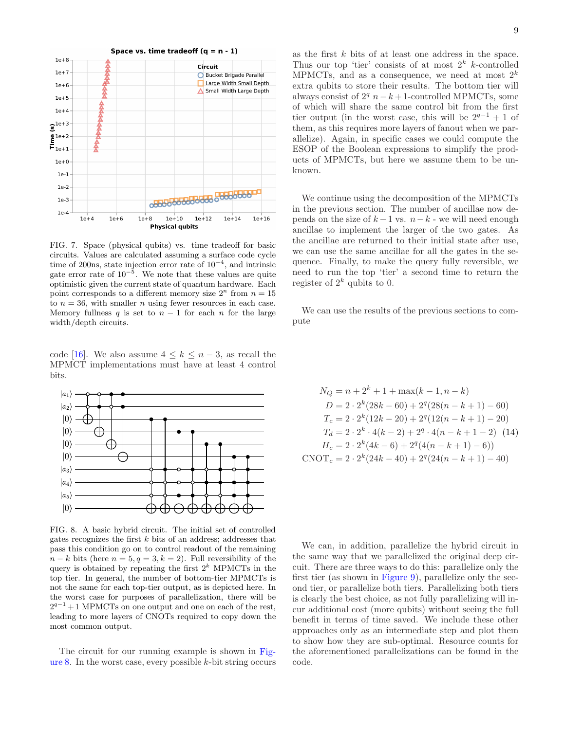

<span id="page-8-0"></span>FIG. 7. Space (physical qubits) vs. time tradeoff for basic circuits. Values are calculated assuming a surface code cycle time of 200ns, state injection error rate of 10<sup>−</sup><sup>4</sup> , and intrinsic gate error rate of  $10^{-5}$ . We note that these values are quite optimistic given the current state of quantum hardware. Each point corresponds to a different memory size  $2^n$  from  $n = 15$ to  $n = 36$ , with smaller n using fewer resources in each case. Memory fullness q is set to  $n-1$  for each n for the large width/depth circuits.

code [\[16](#page-12-13)]. We also assume  $4 \leq k \leq n-3$ , as recall the MPMCT implementations must have at least 4 control bits.



FIG. 8. A basic hybrid circuit. The initial set of controlled gates recognizes the first k bits of an address; addresses that pass this condition go on to control readout of the remaining  $n - k$  bits (here  $n = 5, q = 3, k = 2$ ). Full reversibility of the query is obtained by repeating the first  $2<sup>k</sup>$  MPMCTs in the top tier. In general, the number of bottom-tier MPMCTs is not the same for each top-tier output, as is depicted here. In the worst case for purposes of parallelization, there will be  $2^{q-1} + 1$  MPMCTs on one output and one on each of the rest, leading to more layers of CNOTs required to copy down the most common output.

The circuit for our running example is shown in Figure 8. In the worst case, every possible  $k$ -bit string occurs

as the first k bits of at least one address in the space. Thus our top 'tier' consists of at most  $2^k$  k-controlled MPMCTs, and as a consequence, we need at most  $2^k$ extra qubits to store their results. The bottom tier will always consist of  $2^q$  n – k + 1-controlled MPMCTs, some of which will share the same control bit from the first tier output (in the worst case, this will be  $2^{q-1}+1$  of them, as this requires more layers of fanout when we parallelize). Again, in specific cases we could compute the ESOP of the Boolean expressions to simplify the products of MPMCTs, but here we assume them to be unknown.

We continue using the decomposition of the MPMCTs in the previous section. The number of ancillae now depends on the size of  $k-1$  vs.  $n-k$  - we will need enough ancillae to implement the larger of the two gates. As the ancillae are returned to their initial state after use, we can use the same ancillae for all the gates in the sequence. Finally, to make the query fully reversible, we need to run the top 'tier' a second time to return the register of  $2^k$  qubits to 0.

We can use the results of the previous sections to compute

$$
N_Q = n + 2^k + 1 + \max(k - 1, n - k)
$$
  
\n
$$
D = 2 \cdot 2^k (28k - 60) + 2^q (28(n - k + 1) - 60)
$$
  
\n
$$
T_c = 2 \cdot 2^k (12k - 20) + 2^q (12(n - k + 1) - 20)
$$
  
\n
$$
T_d = 2 \cdot 2^k \cdot 4(k - 2) + 2^q \cdot 4(n - k + 1 - 2)
$$
 (14)  
\n
$$
H_c = 2 \cdot 2^k (4k - 6) + 2^q (4(n - k + 1) - 6)
$$
  
\nCNOT<sub>c</sub> = 2 \cdot 2^k (24k - 40) + 2^q (24(n - k + 1) - 40)

We can, in addition, parallelize the hybrid circuit in the same way that we parallelized the original deep circuit. There are three ways to do this: parallelize only the first tier (as shown in [Figure 9\)](#page-9-0), parallelize only the second tier, or parallelize both tiers. Parallelizing both tiers is clearly the best choice, as not fully parallelizing will incur additional cost (more qubits) without seeing the full benefit in terms of time saved. We include these other approaches only as an intermediate step and plot them to show how they are sub-optimal. Resource counts for the aforementioned parallelizations can be found in the code.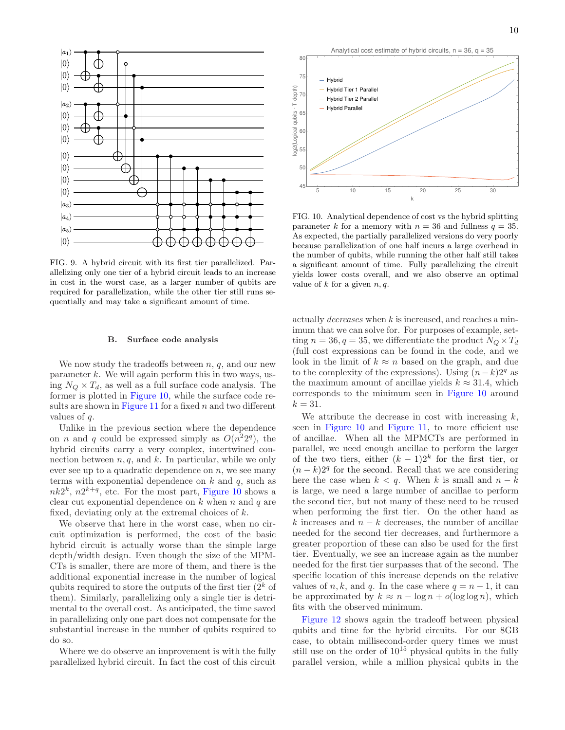

<span id="page-9-0"></span>FIG. 9. A hybrid circuit with its first tier parallelized. Parallelizing only one tier of a hybrid circuit leads to an increase in cost in the worst case, as a larger number of qubits are required for parallelization, while the other tier still runs sequentially and may take a significant amount of time.

## B. Surface code analysis

We now study the tradeoffs between  $n, q$ , and our new parameter  $k$ . We will again perform this in two ways, using  $N_Q \times T_d$ , as well as a full surface code analysis. The former is plotted in [Figure 10,](#page-9-1) while the surface code re-sults are shown in [Figure 11](#page-10-0) for a fixed  $n$  and two different values of q.

Unlike in the previous section where the dependence on *n* and *q* could be expressed simply as  $O(n^22^q)$ , the hybrid circuits carry a very complex, intertwined connection between  $n, q$ , and  $k$ . In particular, while we only ever see up to a quadratic dependence on  $n$ , we see many terms with exponential dependence on  $k$  and  $q$ , such as  $nk2^k$ ,  $n2^{k+q}$ , etc. For the most part, [Figure 10](#page-9-1) shows a clear cut exponential dependence on  $k$  when  $n$  and  $q$  are fixed, deviating only at the extremal choices of  $k$ .

We observe that here in the worst case, when no circuit optimization is performed, the cost of the basic hybrid circuit is actually worse than the simple large depth/width design. Even though the size of the MPM-CTs is smaller, there are more of them, and there is the additional exponential increase in the number of logical qubits required to store the outputs of the first tier  $(2<sup>k</sup>$  of them). Similarly, parallelizing only a single tier is detrimental to the overall cost. As anticipated, the time saved in parallelizing only one part does not compensate for the substantial increase in the number of qubits required to do so.

Where we do observe an improvement is with the fully parallelized hybrid circuit. In fact the cost of this circuit

Analytical cost estimate of hybrid circuits,  $n = 36$ ,  $q = 35$ 



<span id="page-9-1"></span>FIG. 10. Analytical dependence of cost vs the hybrid splitting parameter k for a memory with  $n = 36$  and fullness  $q = 35$ . As expected, the partially parallelized versions do very poorly because parallelization of one half incurs a large overhead in the number of qubits, while running the other half still takes a significant amount of time. Fully parallelizing the circuit yields lower costs overall, and we also observe an optimal value of  $k$  for a given  $n, q$ .

actually decreases when k is increased, and reaches a minimum that we can solve for. For purposes of example, setting  $n = 36, q = 35$ , we differentiate the product  $N_Q \times T_d$ (full cost expressions can be found in the code, and we look in the limit of  $k \approx n$  based on the graph, and due to the complexity of the expressions). Using  $(n-k)2<sup>q</sup>$  as the maximum amount of ancillae yields  $k \approx 31.4$ , which corresponds to the minimum seen in [Figure 10](#page-9-1) around  $k = 31.$ 

We attribute the decrease in cost with increasing  $k$ , seen in [Figure 10](#page-9-1) and [Figure 11,](#page-10-0) to more efficient use of ancillae. When all the MPMCTs are performed in parallel, we need enough ancillae to perform the larger of the two tiers, either  $(k-1)2^k$  for the first tier, or  $(n - k)2<sup>q</sup>$  for the second. Recall that we are considering here the case when  $k < q$ . When k is small and  $n - k$ is large, we need a large number of ancillae to perform the second tier, but not many of these need to be reused when performing the first tier. On the other hand as k increases and  $n - k$  decreases, the number of ancillae needed for the second tier decreases, and furthermore a greater proportion of these can also be used for the first tier. Eventually, we see an increase again as the number needed for the first tier surpasses that of the second. The specific location of this increase depends on the relative values of n, k, and q. In the case where  $q = n - 1$ , it can be approximated by  $k \approx n - \log n + o(\log \log n)$ , which fits with the observed minimum.

[Figure 12](#page-10-1) shows again the tradeoff between physical qubits and time for the hybrid circuits. For our 8GB case, to obtain millisecond-order query times we must still use on the order of  $10^{15}$  physical qubits in the fully parallel version, while a million physical qubits in the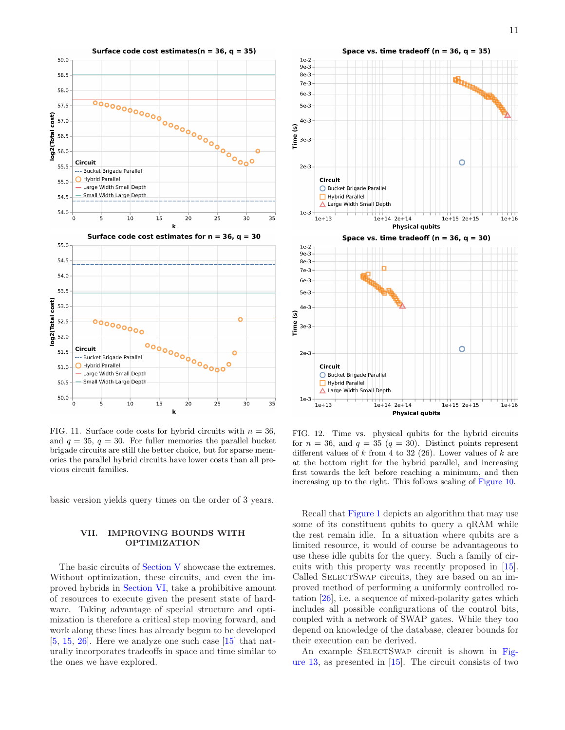

<span id="page-10-0"></span>FIG. 11. Surface code costs for hybrid circuits with  $n = 36$ , and  $q = 35$ ,  $q = 30$ . For fuller memories the parallel bucket brigade circuits are still the better choice, but for sparse memories the parallel hybrid circuits have lower costs than all previous circuit families.

basic version yields query times on the order of 3 years.

## VII. IMPROVING BOUNDS WITH OPTIMIZATION

The basic circuits of [Section V](#page-4-2) showcase the extremes. Without optimization, these circuits, and even the improved hybrids in [Section VI,](#page-7-2) take a prohibitive amount of resources to execute given the present state of hardware. Taking advantage of special structure and optimization is therefore a critical step moving forward, and work along these lines has already begun to be developed [\[5,](#page-12-4) [15,](#page-12-12) [26](#page-13-7)]. Here we analyze one such case [\[15\]](#page-12-12) that naturally incorporates tradeoffs in space and time similar to the ones we have explored.



<span id="page-10-1"></span>FIG. 12. Time vs. physical qubits for the hybrid circuits for  $n = 36$ , and  $q = 35$   $(q = 30)$ . Distinct points represent different values of k from 4 to 32 (26). Lower values of k are at the bottom right for the hybrid parallel, and increasing first towards the left before reaching a minimum, and then increasing up to the right. This follows scaling of [Figure 10.](#page-9-1)

Recall that [Figure 1](#page-2-0) depicts an algorithm that may use some of its constituent qubits to query a qRAM while the rest remain idle. In a situation where qubits are a limited resource, it would of course be advantageous to use these idle qubits for the query. Such a family of circuits with this property was recently proposed in [\[15\]](#page-12-12). Called SELECTSWAP circuits, they are based on an improved method of performing a uniformly controlled rotation [\[26\]](#page-13-7), i.e. a sequence of mixed-polarity gates which includes all possible configurations of the control bits, coupled with a network of SWAP gates. While they too depend on knowledge of the database, clearer bounds for their execution can be derived.

An example SELECTSWAP circuit is shown in Figure 13, as presented in [\[15\]](#page-12-12). The circuit consists of two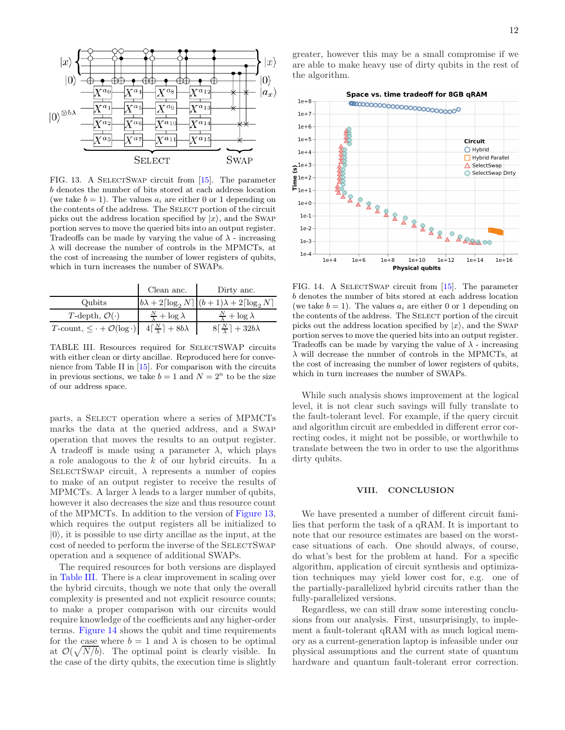

<span id="page-11-0"></span>FIG. 13. A SELECTSWAP circuit from [\[15\]](#page-12-12). The parameter b denotes the number of bits stored at each address location (we take  $b = 1$ ). The values  $a_i$  are either 0 or 1 depending on the contents of the address. The SELECT portion of the circuit picks out the address location specified by  $|x\rangle$ , and the SWAP portion serves to move the queried bits into an output register. Tradeoffs can be made by varying the value of  $\lambda$  - increasing  $\lambda$  will decrease the number of controls in the MPMCTs, at the cost of increasing the number of lower registers of qubits, which in turn increases the number of SWAPs.

|                                                                                                                    | Clean anc.                         | Dirty and.                                                                                                         |
|--------------------------------------------------------------------------------------------------------------------|------------------------------------|--------------------------------------------------------------------------------------------------------------------|
| Qubits                                                                                                             |                                    | $\left b\lambda+2\left\lceil\log_{2}N\right\rceil\right \left(b+1\right)\lambda+2\left\lceil\log_{2}N\right\rceil$ |
| $T\text{-depth}, \mathcal{O}(\cdot)$                                                                               | $\frac{N}{\lambda} + \log \lambda$ | $\frac{N}{\lambda} + \log \lambda$                                                                                 |
| $T\text{-count}, \leq \cdot + \mathcal{O}(\log \cdot) \left  4\lceil \frac{N}{\lambda} \rceil + 8b\lambda \right $ |                                    | $8\lceil \frac{N}{2} \rceil + 32b\lambda$                                                                          |

<span id="page-11-1"></span>TABLE III. Resources required for SELECTSWAP circuits with either clean or dirty ancillae. Reproduced here for convenience from Table II in [\[15](#page-12-12)]. For comparison with the circuits in previous sections, we take  $b = 1$  and  $N = 2<sup>n</sup>$  to be the size of our address space.

parts, a SELECT operation where a series of MPMCTs marks the data at the queried address, and a Swap operation that moves the results to an output register. A tradeoff is made using a parameter  $\lambda$ , which plays a role analogous to the  $k$  of our hybrid circuits. In a SELECTSWAP circuit,  $\lambda$  represents a number of copies to make of an output register to receive the results of MPMCTs. A larger  $\lambda$  leads to a larger number of qubits, however it also decreases the size and thus resource count of the MPMCTs. In addition to the version of [Figure 13,](#page-11-0) which requires the output registers all be initialized to  $|0\rangle$ , it is possible to use dirty ancillae as the input, at the cost of needed to perform the inverse of the SELECTSWAP operation and a sequence of additional SWAPs.

The required resources for both versions are displayed in [Table III.](#page-11-1) There is a clear improvement in scaling over the hybrid circuits, though we note that only the overall complexity is presented and not explicit resource counts; to make a proper comparison with our circuits would require knowledge of the coefficients and any higher-order terms. [Figure 14](#page-11-2) shows the qubit and time requirements for the case where  $b = 1$  and  $\lambda$  is chosen to be optimal at  $\mathcal{O}(\sqrt{N/b})$ . The optimal point is clearly visible. In the case of the dirty qubits, the execution time is slightly

greater, however this may be a small compromise if we are able to make heavy use of dirty qubits in the rest of the algorithm.



<span id="page-11-2"></span>FIG. 14. A SELECTSWAP circuit from [\[15\]](#page-12-12). The parameter b denotes the number of bits stored at each address location (we take  $b = 1$ ). The values  $a_i$  are either 0 or 1 depending on the contents of the address. The SELECT portion of the circuit picks out the address location specified by  $|x\rangle$ , and the Swap portion serves to move the queried bits into an output register. Tradeoffs can be made by varying the value of  $\lambda$  - increasing  $\lambda$  will decrease the number of controls in the MPMCTs, at the cost of increasing the number of lower registers of qubits, which in turn increases the number of SWAPs.

While such analysis shows improvement at the logical level, it is not clear such savings will fully translate to the fault-tolerant level. For example, if the query circuit and algorithm circuit are embedded in different error correcting codes, it might not be possible, or worthwhile to translate between the two in order to use the algorithms dirty qubits.

#### VIII. CONCLUSION

We have presented a number of different circuit families that perform the task of a qRAM. It is important to note that our resource estimates are based on the worstcase situations of each. One should always, of course, do what's best for the problem at hand. For a specific algorithm, application of circuit synthesis and optimization techniques may yield lower cost for, e.g. one of the partially-parallelized hybrid circuits rather than the fully-parallelized versions.

Regardless, we can still draw some interesting conclusions from our analysis. First, unsurprisingly, to implement a fault-tolerant qRAM with as much logical memory as a current-generation laptop is infeasible under our physical assumptions and the current state of quantum hardware and quantum fault-tolerant error correction.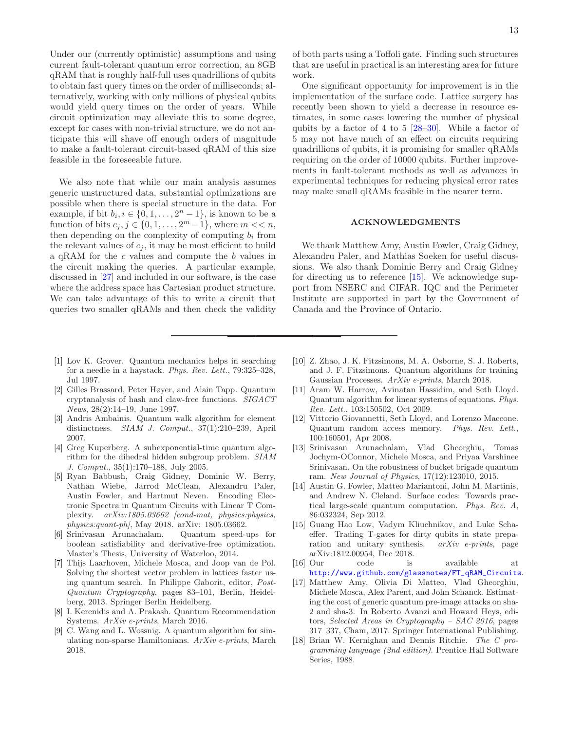Under our (currently optimistic) assumptions and using current fault-tolerant quantum error correction, an 8GB qRAM that is roughly half-full uses quadrillions of qubits to obtain fast query times on the order of milliseconds; alternatively, working with only millions of physical qubits would yield query times on the order of years. While circuit optimization may alleviate this to some degree, except for cases with non-trivial structure, we do not anticipate this will shave off enough orders of magnitude to make a fault-tolerant circuit-based qRAM of this size feasible in the foreseeable future.

We also note that while our main analysis assumes generic unstructured data, substantial optimizations are possible when there is special structure in the data. For example, if bit  $b_i, i \in \{0, 1, \ldots, 2<sup>n</sup> - 1\}$ , is known to be a function of bits  $c_j, j \in \{0, 1, \ldots, 2^m-1\}$ , where  $m \ll n$ , then depending on the complexity of computing  $b_i$  from the relevant values of  $c_j$ , it may be most efficient to build a qRAM for the  $c$  values and compute the  $b$  values in the circuit making the queries. A particular example, discussed in [\[27\]](#page-13-8) and included in our software, is the case where the address space has Cartesian product structure. We can take advantage of this to write a circuit that queries two smaller qRAMs and then check the validity

of both parts using a Toffoli gate. Finding such structures that are useful in practical is an interesting area for future work.

One significant opportunity for improvement is in the implementation of the surface code. Lattice surgery has recently been shown to yield a decrease in resource estimates, in some cases lowering the number of physical qubits by a factor of 4 to 5  $[28-30]$ . While a factor of 5 may not have much of an effect on circuits requiring quadrillions of qubits, it is promising for smaller qRAMs requiring on the order of 10000 qubits. Further improvements in fault-tolerant methods as well as advances in experimental techniques for reducing physical error rates may make small qRAMs feasible in the nearer term.

## ACKNOWLEDGMENTS

We thank Matthew Amy, Austin Fowler, Craig Gidney, Alexandru Paler, and Mathias Soeken for useful discussions. We also thank Dominic Berry and Craig Gidney for directing us to reference [\[15](#page-12-12)]. We acknowledge support from NSERC and CIFAR. IQC and the Perimeter Institute are supported in part by the Government of Canada and the Province of Ontario.

- <span id="page-12-0"></span>[1] Lov K. Grover. Quantum mechanics helps in searching for a needle in a haystack. *Phys. Rev. Lett.*, 79:325–328, Jul 1997.
- <span id="page-12-1"></span>[2] Gilles Brassard, Peter Høyer, and Alain Tapp. Quantum cryptanalysis of hash and claw-free functions. *SIGACT News*, 28(2):14–19, June 1997.
- <span id="page-12-2"></span>[3] Andris Ambainis. Quantum walk algorithm for element distinctness. *SIAM J. Comput.*, 37(1):210–239, April 2007.
- <span id="page-12-3"></span>[4] Greg Kuperberg. A subexponential-time quantum algorithm for the dihedral hidden subgroup problem. *SIAM J. Comput.*, 35(1):170–188, July 2005.
- <span id="page-12-4"></span>[5] Ryan Babbush, Craig Gidney, Dominic W. Berry, Nathan Wiebe, Jarrod McClean, Alexandru Paler, Austin Fowler, and Hartmut Neven. Encoding Electronic Spectra in Quantum Circuits with Linear T Complexity. *arXiv:1805.03662 [cond-mat, physics:physics, physics:quant-ph]*, May 2018. arXiv: 1805.03662.
- <span id="page-12-5"></span>[6] Srinivasan Arunachalam. Quantum speed-ups for boolean satisfiability and derivative-free optimization. Master's Thesis, University of Waterloo, 2014.
- [7] Thijs Laarhoven, Michele Mosca, and Joop van de Pol. Solving the shortest vector problem in lattices faster using quantum search. In Philippe Gaborit, editor, *Post-Quantum Cryptography*, pages 83–101, Berlin, Heidelberg, 2013. Springer Berlin Heidelberg.
- <span id="page-12-6"></span>[8] I. Kerenidis and A. Prakash. Quantum Recommendation Systems. *ArXiv e-prints*, March 2016.
- [9] C. Wang and L. Wossnig. A quantum algorithm for simulating non-sparse Hamiltonians. *ArXiv e-prints*, March 2018.
- <span id="page-12-7"></span>[10] Z. Zhao, J. K. Fitzsimons, M. A. Osborne, S. J. Roberts, and J. F. Fitzsimons. Quantum algorithms for training Gaussian Processes. *ArXiv e-prints*, March 2018.
- <span id="page-12-8"></span>[11] Aram W. Harrow, Avinatan Hassidim, and Seth Lloyd. Quantum algorithm for linear systems of equations. *Phys. Rev. Lett.*, 103:150502, Oct 2009.
- <span id="page-12-9"></span>[12] Vittorio Giovannetti, Seth Lloyd, and Lorenzo Maccone. Quantum random access memory. *Phys. Rev. Lett.*, 100:160501, Apr 2008.
- <span id="page-12-10"></span>[13] Srinivasan Arunachalam, Vlad Gheorghiu, Tomas Jochym-OConnor, Michele Mosca, and Priyaa Varshinee Srinivasan. On the robustness of bucket brigade quantum ram. *New Journal of Physics*, 17(12):123010, 2015.
- <span id="page-12-11"></span>[14] Austin G. Fowler, Matteo Mariantoni, John M. Martinis, and Andrew N. Cleland. Surface codes: Towards practical large-scale quantum computation. *Phys. Rev. A*, 86:032324, Sep 2012.
- <span id="page-12-12"></span>[15] Guang Hao Low, Vadym Kliuchnikov, and Luke Schaeffer. Trading T-gates for dirty qubits in state preparation and unitary synthesis. *arXiv e-prints*, page arXiv:1812.00954, Dec 2018.
- <span id="page-12-13"></span>[16] Our code is available at [http://www.github.com/glassnotes/FT\\_qRAM\\_Circuits](http://www.github.com/glassnotes/FT_qRAM_Circuits).
- <span id="page-12-14"></span>[17] Matthew Amy, Olivia Di Matteo, Vlad Gheorghiu, Michele Mosca, Alex Parent, and John Schanck. Estimating the cost of generic quantum pre-image attacks on sha-2 and sha-3. In Roberto Avanzi and Howard Heys, editors, *Selected Areas in Cryptography – SAC 2016*, pages 317–337, Cham, 2017. Springer International Publishing.
- <span id="page-12-15"></span>[18] Brian W. Kernighan and Dennis Ritchie. *The C programming language (2nd edition)*. Prentice Hall Software Series, 1988.